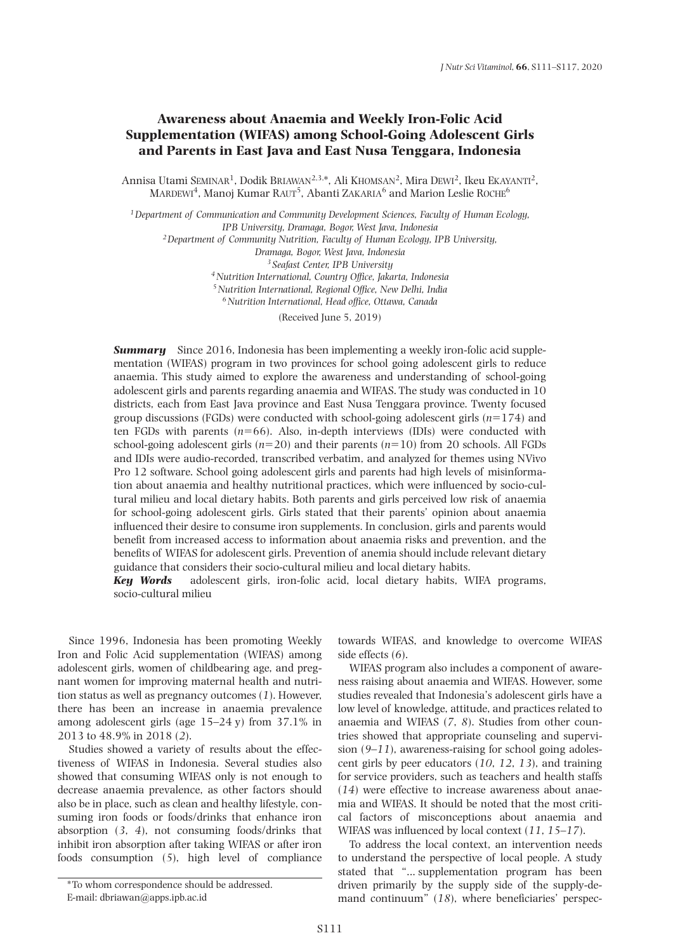# **Awareness about Anaemia and Weekly Iron-Folic Acid Supplementation (WIFAS) among School-Going Adolescent Girls and Parents in East Java and East Nusa Tenggara, Indonesia**

Annisa Utami Seminar<sup>1</sup>, Dodik Briawan<sup>2,3,\*</sup>, Ali Khomsan<sup>2</sup>, Mira Dewi<sup>2</sup>, Ikeu Ekayanti<sup>2</sup>, MARDEWI<sup>4</sup>, Manoj Kumar RAUT<sup>5</sup>, Abanti ZAKARIA<sup>6</sup> and Marion Leslie ROCHE<sup>6</sup>

*1Department of Communication and Community Development Sciences, Faculty of Human Ecology, IPB University, Dramaga, Bogor, West Java, Indonesia 2Department of Community Nutrition, Faculty of Human Ecology, IPB University, Dramaga, Bogor, West Java, Indonesia <sup>3</sup> Seafast Center, IPB University 4Nutrition International, Country Office, Jakarta, Indonesia 5Nutrition International, Regional Office, New Delhi, India*

*6Nutrition International, Head office, Ottawa, Canada*

(Received June 5, 2019)

**Summary** Since 2016, Indonesia has been implementing a weekly iron-folic acid supplementation (WIFAS) program in two provinces for school going adolescent girls to reduce anaemia. This study aimed to explore the awareness and understanding of school-going adolescent girls and parents regarding anaemia and WIFAS. The study was conducted in 10 districts, each from East Java province and East Nusa Tenggara province. Twenty focused group discussions (FGDs) were conducted with school-going adolescent girls  $(n=174)$  and ten FGDs with parents  $(n=66)$ . Also, in-depth interviews (IDIs) were conducted with school-going adolescent girls  $(n=20)$  and their parents  $(n=10)$  from 20 schools. All FGDs and IDIs were audio-recorded, transcribed verbatim, and analyzed for themes using NVivo Pro 12 software. School going adolescent girls and parents had high levels of misinformation about anaemia and healthy nutritional practices, which were influenced by socio-cultural milieu and local dietary habits. Both parents and girls perceived low risk of anaemia for school-going adolescent girls. Girls stated that their parents' opinion about anaemia influenced their desire to consume iron supplements. In conclusion, girls and parents would benefit from increased access to information about anaemia risks and prevention, and the benefits of WIFAS for adolescent girls. Prevention of anemia should include relevant dietary guidance that considers their socio-cultural milieu and local dietary habits.

*Key Words* adolescent girls, iron-folic acid, local dietary habits, WIFA programs, socio-cultural milieu

Since 1996, Indonesia has been promoting Weekly Iron and Folic Acid supplementation (WIFAS) among adolescent girls, women of childbearing age, and pregnant women for improving maternal health and nutrition status as well as pregnancy outcomes (*1*). However, there has been an increase in anaemia prevalence among adolescent girls (age 15–24 y) from 37.1% in 2013 to 48.9% in 2018 (*2*).

Studies showed a variety of results about the effectiveness of WIFAS in Indonesia. Several studies also showed that consuming WIFAS only is not enough to decrease anaemia prevalence, as other factors should also be in place, such as clean and healthy lifestyle, consuming iron foods or foods/drinks that enhance iron absorption (*3*, *4*), not consuming foods/drinks that inhibit iron absorption after taking WIFAS or after iron foods consumption (*5*), high level of compliance

towards WIFAS, and knowledge to overcome WIFAS side effects (*6*).

WIFAS program also includes a component of awareness raising about anaemia and WIFAS. However, some studies revealed that Indonesia's adolescent girls have a low level of knowledge, attitude, and practices related to anaemia and WIFAS (*7*, *8*). Studies from other countries showed that appropriate counseling and supervision (*9*–*11*), awareness-raising for school going adolescent girls by peer educators (*10*, *12*, *13*), and training for service providers, such as teachers and health staffs (*14*) were effective to increase awareness about anaemia and WIFAS. It should be noted that the most critical factors of misconceptions about anaemia and WIFAS was influenced by local context (*11*, *15*–*17*).

To address the local context, an intervention needs to understand the perspective of local people. A study stated that "... supplementation program has been driven primarily by the supply side of the supply-demand continuum" (*18*), where beneficiaries' perspec-

<sup>\*</sup>To whom correspondence should be addressed. E-mail: dbriawan@apps.ipb.ac.id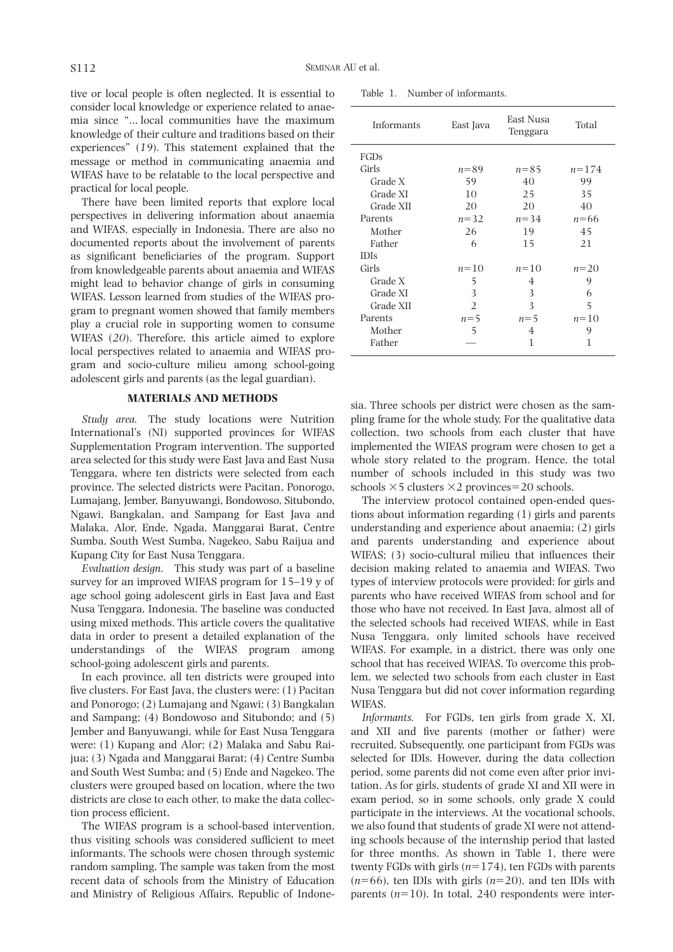tive or local people is often neglected. It is essential to consider local knowledge or experience related to anaemia since "... local communities have the maximum knowledge of their culture and traditions based on their experiences" (*19*). This statement explained that the message or method in communicating anaemia and WIFAS have to be relatable to the local perspective and practical for local people.

There have been limited reports that explore local perspectives in delivering information about anaemia and WIFAS, especially in Indonesia. There are also no documented reports about the involvement of parents as significant beneficiaries of the program. Support from knowledgeable parents about anaemia and WIFAS might lead to behavior change of girls in consuming WIFAS. Lesson learned from studies of the WIFAS program to pregnant women showed that family members play a crucial role in supporting women to consume WIFAS (*20*). Therefore, this article aimed to explore local perspectives related to anaemia and WIFAS program and socio-culture milieu among school-going adolescent girls and parents (as the legal guardian).

# **MATERIALS AND METHODS**

*Study area.* The study locations were Nutrition International's (NI) supported provinces for WIFAS Supplementation Program intervention. The supported area selected for this study were East Java and East Nusa Tenggara, where ten districts were selected from each province. The selected districts were Pacitan, Ponorogo, Lumajang, Jember, Banyuwangi, Bondowoso, Situbondo, Ngawi, Bangkalan, and Sampang for East Java and Malaka, Alor, Ende, Ngada, Manggarai Barat, Centre Sumba, South West Sumba, Nagekeo, Sabu Raijua and Kupang City for East Nusa Tenggara.

*Evaluation design.* This study was part of a baseline survey for an improved WIFAS program for 15–19 y of age school going adolescent girls in East Java and East Nusa Tenggara, Indonesia. The baseline was conducted using mixed methods. This article covers the qualitative data in order to present a detailed explanation of the understandings of the WIFAS program among school-going adolescent girls and parents.

In each province, all ten districts were grouped into five clusters. For East Java, the clusters were: (1) Pacitan and Ponorogo; (2) Lumajang and Ngawi; (3) Bangkalan and Sampang; (4) Bondowoso and Situbondo; and (5) Jember and Banyuwangi, while for East Nusa Tenggara were: (1) Kupang and Alor; (2) Malaka and Sabu Raijua; (3) Ngada and Manggarai Barat; (4) Centre Sumba and South West Sumba; and (5) Ende and Nagekeo. The clusters were grouped based on location, where the two districts are close to each other, to make the data collection process efficient.

The WIFAS program is a school-based intervention, thus visiting schools was considered sufficient to meet informants. The schools were chosen through systemic random sampling. The sample was taken from the most recent data of schools from the Ministry of Education and Ministry of Religious Affairs, Republic of Indone-

| Table 1. |  | Number of informants. |
|----------|--|-----------------------|
|          |  |                       |

| Informants  | East Java     | East Nusa<br>Tenggara | Total     |
|-------------|---------------|-----------------------|-----------|
| FGDs        |               |                       |           |
| Girls       | $n = 89$      | $n = 85$              | $n = 174$ |
| Grade X     | 59            | 40                    | 99        |
| Grade XI    | 10            | 25                    | 35        |
| Grade XII   | 20            | 20                    | 40        |
| Parents     | $n = 32$      | $n = 34$              | $n = 66$  |
| Mother      | 26            | 19                    | 45        |
| Father      | 6             | 15                    | 21        |
| <b>IDIs</b> |               |                       |           |
| Girls       | $n = 10$      | $n=10$                | $n = 20$  |
| Grade X     | 5             | 4                     | 9         |
| Grade XI    | 3             | 3                     | 6         |
| Grade XII   | $\mathcal{L}$ | 3                     | 5         |
| Parents     | $n=5$         | $n=5$                 | $n = 10$  |
| Mother      | 5             | 4                     | 9         |
| Father      |               | 1                     | 1         |

sia. Three schools per district were chosen as the sampling frame for the whole study. For the qualitative data collection, two schools from each cluster that have implemented the WIFAS program were chosen to get a whole story related to the program. Hence, the total number of schools included in this study was two schools  $\times$  5 clusters  $\times$  2 provinces = 20 schools.

The interview protocol contained open-ended questions about information regarding (1) girls and parents understanding and experience about anaemia; (2) girls and parents understanding and experience about WIFAS; (3) socio-cultural milieu that influences their decision making related to anaemia and WIFAS. Two types of interview protocols were provided: for girls and parents who have received WIFAS from school and for those who have not received. In East Java, almost all of the selected schools had received WIFAS, while in East Nusa Tenggara, only limited schools have received WIFAS. For example, in a district, there was only one school that has received WIFAS. To overcome this problem, we selected two schools from each cluster in East Nusa Tenggara but did not cover information regarding WIFAS.

*Informants.* For FGDs, ten girls from grade X, XI, and XII and five parents (mother or father) were recruited. Subsequently, one participant from FGDs was selected for IDIs. However, during the data collection period, some parents did not come even after prior invitation. As for girls, students of grade XI and XII were in exam period, so in some schools, only grade X could participate in the interviews. At the vocational schools, we also found that students of grade XI were not attending schools because of the internship period that lasted for three months. As shown in Table 1, there were twenty FGDs with girls  $(n=174)$ , ten FGDs with parents  $(n=66)$ , ten IDIs with girls  $(n=20)$ , and ten IDIs with parents  $(n=10)$ . In total, 240 respondents were inter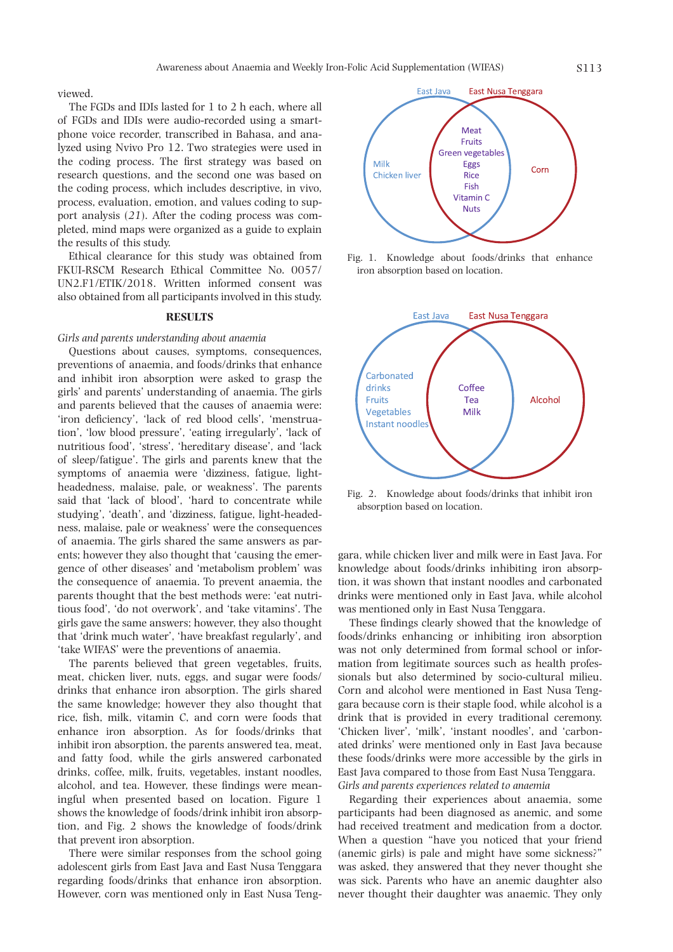viewed.

The FGDs and IDIs lasted for 1 to 2 h each, where all of FGDs and IDIs were audio-recorded using a smartphone voice recorder, transcribed in Bahasa, and analyzed using Nvivo Pro 12. Two strategies were used in the coding process. The first strategy was based on research questions, and the second one was based on the coding process, which includes descriptive, in vivo, process, evaluation, emotion, and values coding to support analysis (*21*). After the coding process was completed, mind maps were organized as a guide to explain the results of this study.

Ethical clearance for this study was obtained from FKUI-RSCM Research Ethical Committee No. 0057/ UN2.F1/ETIK/2018. Written informed consent was also obtained from all participants involved in this study.

### **RESULTS**

# *Girls and parents understanding about anaemia*

Questions about causes, symptoms, consequences, preventions of anaemia, and foods/drinks that enhance and inhibit iron absorption were asked to grasp the girls' and parents' understanding of anaemia. The girls and parents believed that the causes of anaemia were: 'iron deficiency', 'lack of red blood cells', 'menstruation', 'low blood pressure', 'eating irregularly', 'lack of nutritious food', 'stress', 'hereditary disease', and 'lack of sleep/fatigue'. The girls and parents knew that the symptoms of anaemia were 'dizziness, fatigue, lightheadedness, malaise, pale, or weakness'. The parents said that 'lack of blood', 'hard to concentrate while studying', 'death', and 'dizziness, fatigue, light-headedness, malaise, pale or weakness' were the consequences of anaemia. The girls shared the same answers as parents; however they also thought that 'causing the emergence of other diseases' and 'metabolism problem' was the consequence of anaemia. To prevent anaemia, the parents thought that the best methods were: 'eat nutritious food', 'do not overwork', and 'take vitamins'. The girls gave the same answers; however, they also thought that 'drink much water', 'have breakfast regularly', and 'take WIFAS' were the preventions of anaemia.

The parents believed that green vegetables, fruits, meat, chicken liver, nuts, eggs, and sugar were foods/ drinks that enhance iron absorption. The girls shared the same knowledge; however they also thought that rice, fish, milk, vitamin C, and corn were foods that enhance iron absorption. As for foods/drinks that inhibit iron absorption, the parents answered tea, meat, and fatty food, while the girls answered carbonated drinks, coffee, milk, fruits, vegetables, instant noodles, alcohol, and tea. However, these findings were meaningful when presented based on location. Figure 1 shows the knowledge of foods/drink inhibit iron absorption, and Fig. 2 shows the knowledge of foods/drink that prevent iron absorption.

There were similar responses from the school going adolescent girls from East Java and East Nusa Tenggara regarding foods/drinks that enhance iron absorption. However, corn was mentioned only in East Nusa Teng-



Fig. 1. Knowledge about foods/drinks that enhance iron absorption based on location.



Fig. 2. Knowledge about foods/drinks that inhibit iron absorption based on location.

gara, while chicken liver and milk were in East Java. For knowledge about foods/drinks inhibiting iron absorption, it was shown that instant noodles and carbonated drinks were mentioned only in East Java, while alcohol was mentioned only in East Nusa Tenggara.

These findings clearly showed that the knowledge of foods/drinks enhancing or inhibiting iron absorption was not only determined from formal school or information from legitimate sources such as health professionals but also determined by socio-cultural milieu. Corn and alcohol were mentioned in East Nusa Tenggara because corn is their staple food, while alcohol is a drink that is provided in every traditional ceremony. 'Chicken liver', 'milk', 'instant noodles', and 'carbonated drinks' were mentioned only in East Java because these foods/drinks were more accessible by the girls in East Java compared to those from East Nusa Tenggara. *Girls and parents experiences related to anaemia*

Regarding their experiences about anaemia, some participants had been diagnosed as anemic, and some had received treatment and medication from a doctor. When a question "have you noticed that your friend (anemic girls) is pale and might have some sickness?" was asked, they answered that they never thought she was sick. Parents who have an anemic daughter also never thought their daughter was anaemic. They only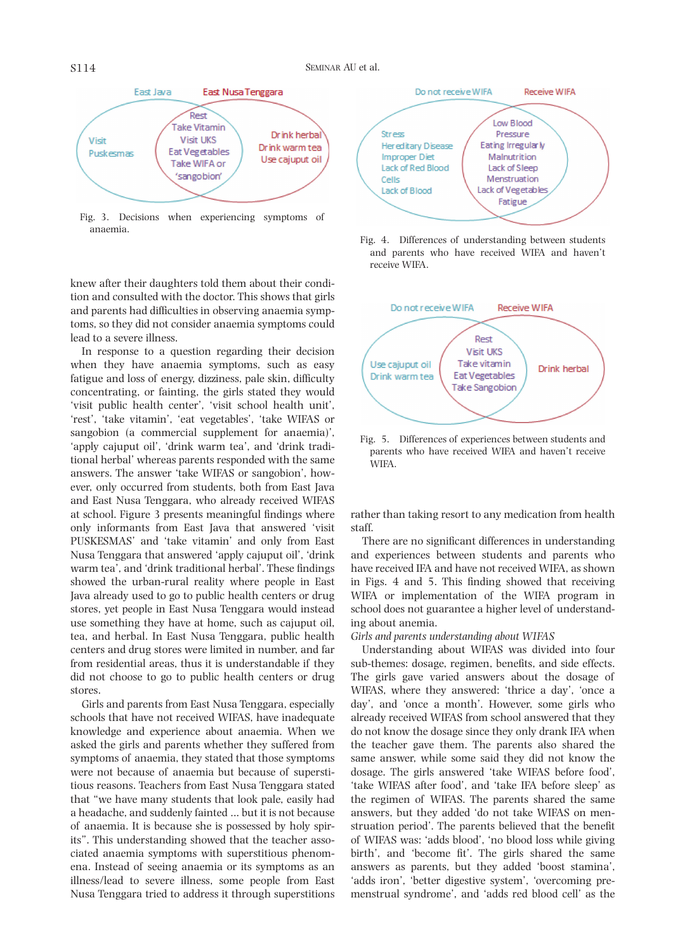

Fig. 3. Decisions when experiencing symptoms of anaemia.

knew after their daughters told them about their condition and consulted with the doctor. This shows that girls and parents had difficulties in observing anaemia symptoms, so they did not consider anaemia symptoms could lead to a severe illness.

In response to a question regarding their decision when they have anaemia symptoms, such as easy fatigue and loss of energy, dizziness, pale skin, difficulty concentrating, or fainting, the girls stated they would 'visit public health center', 'visit school health unit', 'rest', 'take vitamin', 'eat vegetables', 'take WIFAS or sangobion (a commercial supplement for anaemia)', 'apply cajuput oil', 'drink warm tea', and 'drink traditional herbal' whereas parents responded with the same answers. The answer 'take WIFAS or sangobion', however, only occurred from students, both from East Java and East Nusa Tenggara, who already received WIFAS at school. Figure 3 presents meaningful findings where only informants from East Java that answered 'visit PUSKESMAS' and 'take vitamin' and only from East Nusa Tenggara that answered 'apply cajuput oil', 'drink warm tea', and 'drink traditional herbal'. These findings showed the urban-rural reality where people in East Java already used to go to public health centers or drug stores, yet people in East Nusa Tenggara would instead use something they have at home, such as cajuput oil, tea, and herbal. In East Nusa Tenggara, public health centers and drug stores were limited in number, and far from residential areas, thus it is understandable if they did not choose to go to public health centers or drug stores.

Girls and parents from East Nusa Tenggara, especially schools that have not received WIFAS, have inadequate knowledge and experience about anaemia. When we asked the girls and parents whether they suffered from symptoms of anaemia, they stated that those symptoms were not because of anaemia but because of superstitious reasons. Teachers from East Nusa Tenggara stated that "we have many students that look pale, easily had a headache, and suddenly fainted ... but it is not because of anaemia. It is because she is possessed by holy spirits". This understanding showed that the teacher associated anaemia symptoms with superstitious phenomena. Instead of seeing anaemia or its symptoms as an illness/lead to severe illness, some people from East Nusa Tenggara tried to address it through superstitions



Fig. 4. Differences of understanding between students and parents who have received WIFA and haven't receive WIFA.



Fig. 5. Differences of experiences between students and parents who have received WIFA and haven't receive WIFA.

rather than taking resort to any medication from health staff.

There are no significant differences in understanding and experiences between students and parents who have received IFA and have not received WIFA, as shown in Figs. 4 and 5. This finding showed that receiving WIFA or implementation of the WIFA program in school does not guarantee a higher level of understanding about anemia.

# *Girls and parents understanding about WIFAS*

Understanding about WIFAS was divided into four sub-themes: dosage, regimen, benefits, and side effects. The girls gave varied answers about the dosage of WIFAS, where they answered: 'thrice a day', 'once a day', and 'once a month'. However, some girls who already received WIFAS from school answered that they do not know the dosage since they only drank IFA when the teacher gave them. The parents also shared the same answer, while some said they did not know the dosage. The girls answered 'take WIFAS before food', 'take WIFAS after food', and 'take IFA before sleep' as the regimen of WIFAS. The parents shared the same answers, but they added 'do not take WIFAS on menstruation period'. The parents believed that the benefit of WIFAS was: 'adds blood', 'no blood loss while giving birth', and 'become fit'. The girls shared the same answers as parents, but they added 'boost stamina', 'adds iron', 'better digestive system', 'overcoming premenstrual syndrome', and 'adds red blood cell' as the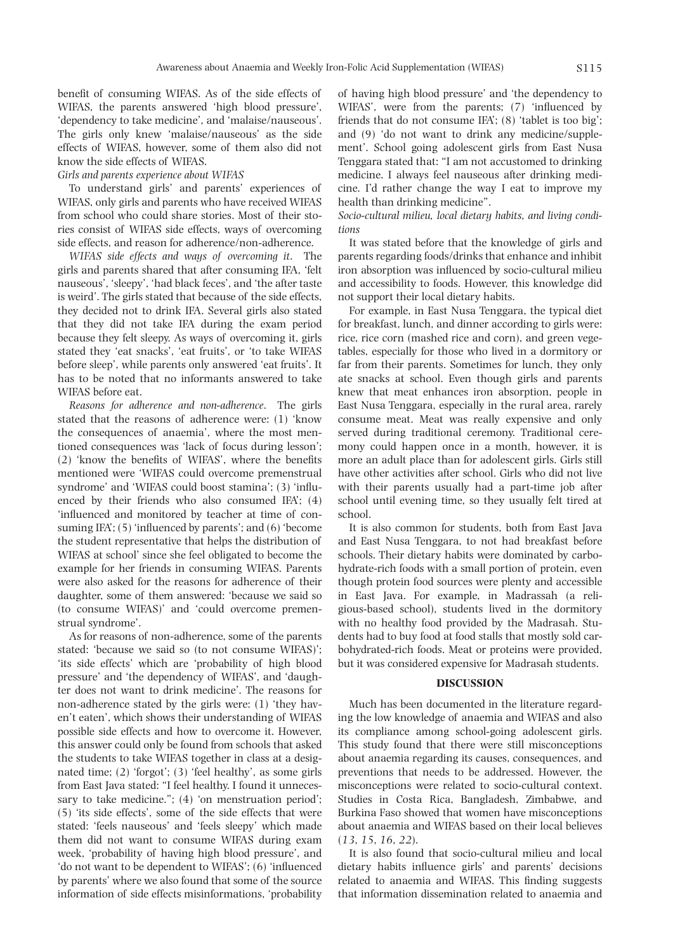benefit of consuming WIFAS. As of the side effects of WIFAS, the parents answered 'high blood pressure', 'dependency to take medicine', and 'malaise/nauseous'. The girls only knew 'malaise/nauseous' as the side effects of WIFAS, however, some of them also did not know the side effects of WIFAS.

# *Girls and parents experience about WIFAS*

To understand girls' and parents' experiences of WIFAS, only girls and parents who have received WIFAS from school who could share stories. Most of their stories consist of WIFAS side effects, ways of overcoming side effects, and reason for adherence/non-adherence.

*WIFAS side effects and ways of overcoming it*. The girls and parents shared that after consuming IFA, 'felt nauseous', 'sleepy', 'had black feces', and 'the after taste is weird'. The girls stated that because of the side effects, they decided not to drink IFA. Several girls also stated that they did not take IFA during the exam period because they felt sleepy. As ways of overcoming it, girls stated they 'eat snacks', 'eat fruits', or 'to take WIFAS before sleep', while parents only answered 'eat fruits'. It has to be noted that no informants answered to take WIFAS before eat.

*Reasons for adherence and non-adherence*. The girls stated that the reasons of adherence were: (1) 'know the consequences of anaemia', where the most mentioned consequences was 'lack of focus during lesson'; (2) 'know the benefits of WIFAS', where the benefits mentioned were 'WIFAS could overcome premenstrual syndrome' and 'WIFAS could boost stamina'; (3) 'influenced by their friends who also consumed IFA'; (4) 'influenced and monitored by teacher at time of consuming IFA'; (5) 'influenced by parents'; and (6) 'become the student representative that helps the distribution of WIFAS at school' since she feel obligated to become the example for her friends in consuming WIFAS. Parents were also asked for the reasons for adherence of their daughter, some of them answered: 'because we said so (to consume WIFAS)' and 'could overcome premenstrual syndrome'.

As for reasons of non-adherence, some of the parents stated: 'because we said so (to not consume WIFAS)'; 'its side effects' which are 'probability of high blood pressure' and 'the dependency of WIFAS', and 'daughter does not want to drink medicine'. The reasons for non-adherence stated by the girls were: (1) 'they haven't eaten', which shows their understanding of WIFAS possible side effects and how to overcome it. However, this answer could only be found from schools that asked the students to take WIFAS together in class at a designated time; (2) 'forgot'; (3) 'feel healthy', as some girls from East Java stated: "I feel healthy. I found it unnecessary to take medicine."; (4) 'on menstruation period'; (5) 'its side effects', some of the side effects that were stated: 'feels nauseous' and 'feels sleepy' which made them did not want to consume WIFAS during exam week, 'probability of having high blood pressure', and 'do not want to be dependent to WIFAS'; (6) 'influenced by parents' where we also found that some of the source information of side effects misinformations, 'probability

of having high blood pressure' and 'the dependency to WIFAS', were from the parents; (7) 'influenced by friends that do not consume IFA'; (8) 'tablet is too big'; and (9) 'do not want to drink any medicine/supplement'. School going adolescent girls from East Nusa Tenggara stated that: "I am not accustomed to drinking medicine. I always feel nauseous after drinking medicine. I'd rather change the way I eat to improve my health than drinking medicine".

*Socio-cultural milieu, local dietary habits, and living conditions*

It was stated before that the knowledge of girls and parents regarding foods/drinks that enhance and inhibit iron absorption was influenced by socio-cultural milieu and accessibility to foods. However, this knowledge did not support their local dietary habits.

For example, in East Nusa Tenggara, the typical diet for breakfast, lunch, and dinner according to girls were: rice, rice corn (mashed rice and corn), and green vegetables, especially for those who lived in a dormitory or far from their parents. Sometimes for lunch, they only ate snacks at school. Even though girls and parents knew that meat enhances iron absorption, people in East Nusa Tenggara, especially in the rural area, rarely consume meat. Meat was really expensive and only served during traditional ceremony. Traditional ceremony could happen once in a month, however, it is more an adult place than for adolescent girls. Girls still have other activities after school. Girls who did not live with their parents usually had a part-time job after school until evening time, so they usually felt tired at school.

It is also common for students, both from East Java and East Nusa Tenggara, to not had breakfast before schools. Their dietary habits were dominated by carbohydrate-rich foods with a small portion of protein, even though protein food sources were plenty and accessible in East Java. For example, in Madrassah (a religious-based school), students lived in the dormitory with no healthy food provided by the Madrasah. Students had to buy food at food stalls that mostly sold carbohydrated-rich foods. Meat or proteins were provided, but it was considered expensive for Madrasah students.

### **DISCUSSION**

Much has been documented in the literature regarding the low knowledge of anaemia and WIFAS and also its compliance among school-going adolescent girls. This study found that there were still misconceptions about anaemia regarding its causes, consequences, and preventions that needs to be addressed. However, the misconceptions were related to socio-cultural context. Studies in Costa Rica, Bangladesh, Zimbabwe, and Burkina Faso showed that women have misconceptions about anaemia and WIFAS based on their local believes (*13*, *15*, *16*, *22*).

It is also found that socio-cultural milieu and local dietary habits influence girls' and parents' decisions related to anaemia and WIFAS. This finding suggests that information dissemination related to anaemia and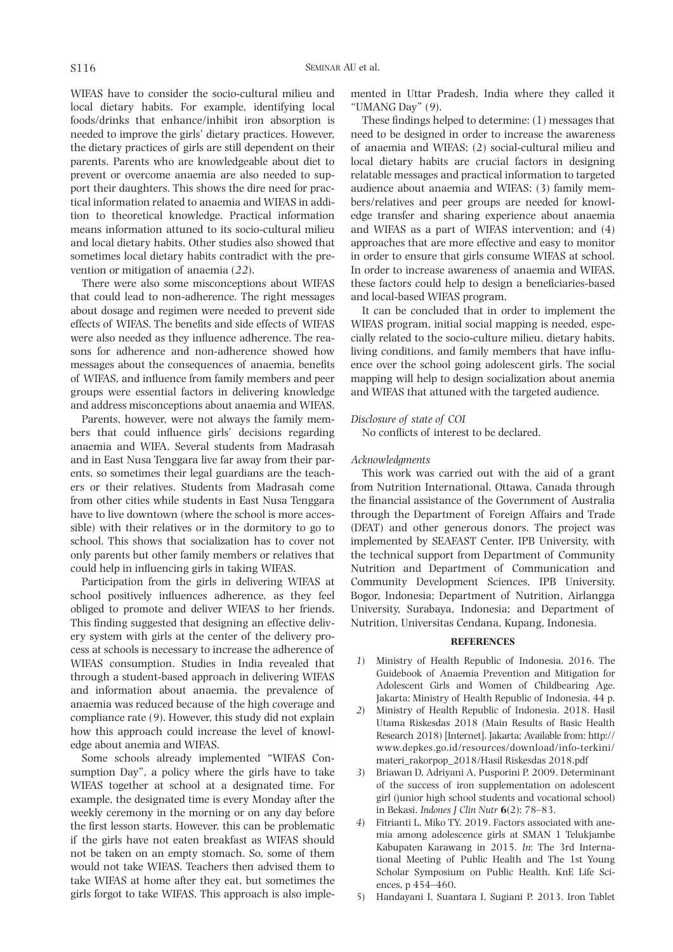WIFAS have to consider the socio-cultural milieu and local dietary habits. For example, identifying local foods/drinks that enhance/inhibit iron absorption is needed to improve the girls' dietary practices. However, the dietary practices of girls are still dependent on their parents. Parents who are knowledgeable about diet to prevent or overcome anaemia are also needed to support their daughters. This shows the dire need for practical information related to anaemia and WIFAS in addition to theoretical knowledge. Practical information means information attuned to its socio-cultural milieu and local dietary habits. Other studies also showed that sometimes local dietary habits contradict with the prevention or mitigation of anaemia (*22*).

There were also some misconceptions about WIFAS that could lead to non-adherence. The right messages about dosage and regimen were needed to prevent side effects of WIFAS. The benefits and side effects of WIFAS were also needed as they influence adherence. The reasons for adherence and non-adherence showed how messages about the consequences of anaemia, benefits of WIFAS, and influence from family members and peer groups were essential factors in delivering knowledge and address misconceptions about anaemia and WIFAS.

Parents, however, were not always the family members that could influence girls' decisions regarding anaemia and WIFA. Several students from Madrasah and in East Nusa Tenggara live far away from their parents, so sometimes their legal guardians are the teachers or their relatives. Students from Madrasah come from other cities while students in East Nusa Tenggara have to live downtown (where the school is more accessible) with their relatives or in the dormitory to go to school. This shows that socialization has to cover not only parents but other family members or relatives that could help in influencing girls in taking WIFAS.

Participation from the girls in delivering WIFAS at school positively influences adherence, as they feel obliged to promote and deliver WIFAS to her friends. This finding suggested that designing an effective delivery system with girls at the center of the delivery process at schools is necessary to increase the adherence of WIFAS consumption. Studies in India revealed that through a student-based approach in delivering WIFAS and information about anaemia, the prevalence of anaemia was reduced because of the high coverage and compliance rate (*9*). However, this study did not explain how this approach could increase the level of knowledge about anemia and WIFAS.

Some schools already implemented "WIFAS Consumption Day", a policy where the girls have to take WIFAS together at school at a designated time. For example, the designated time is every Monday after the weekly ceremony in the morning or on any day before the first lesson starts. However, this can be problematic if the girls have not eaten breakfast as WIFAS should not be taken on an empty stomach. So, some of them would not take WIFAS. Teachers then advised them to take WIFAS at home after they eat, but sometimes the girls forgot to take WIFAS. This approach is also implemented in Uttar Pradesh, India where they called it "UMANG Day" (*9*).

These findings helped to determine: (1) messages that need to be designed in order to increase the awareness of anaemia and WIFAS; (2) social-cultural milieu and local dietary habits are crucial factors in designing relatable messages and practical information to targeted audience about anaemia and WIFAS; (3) family members/relatives and peer groups are needed for knowledge transfer and sharing experience about anaemia and WIFAS as a part of WIFAS intervention; and (4) approaches that are more effective and easy to monitor in order to ensure that girls consume WIFAS at school. In order to increase awareness of anaemia and WIFAS, these factors could help to design a beneficiaries-based and local-based WIFAS program.

It can be concluded that in order to implement the WIFAS program, initial social mapping is needed, especially related to the socio-culture milieu, dietary habits, living conditions, and family members that have influence over the school going adolescent girls. The social mapping will help to design socialization about anemia and WIFAS that attuned with the targeted audience.

### *Disclosure of state of COI*

No conflicts of interest to be declared.

### *Acknowledgments*

This work was carried out with the aid of a grant from Nutrition International, Ottawa, Canada through the financial assistance of the Government of Australia through the Department of Foreign Affairs and Trade (DFAT) and other generous donors. The project was implemented by SEAFAST Center, IPB University, with the technical support from Department of Community Nutrition and Department of Communication and Community Development Sciences, IPB University, Bogor, Indonesia; Department of Nutrition, Airlangga University, Surabaya, Indonesia; and Department of Nutrition, Universitas Cendana, Kupang, Indonesia.

# **REFERENCES**

- *1*) Ministry of Health Republic of Indonesia. 2016. The Guidebook of Anaemia Prevention and Mitigation for Adolescent Girls and Women of Childbearing Age. Jakarta: Ministry of Health Republic of Indonesia, 44 p.
- *2*) Ministry of Health Republic of Indonesia. 2018. Hasil Utama Riskesdas 2018 (Main Results of Basic Health Research 2018) [Internet]. Jakarta; Available from: http:// www.depkes.go.id/resources/download/info-terkini/ materi\_rakorpop\_2018/Hasil Riskesdas 2018.pdf
- *3*) Briawan D, Adriyani A, Pusporini P. 2009. Determinant of the success of iron supplementation on adolescent girl (junior high school students and vocational school) in Bekasi. *Indones J Clin Nutr* **6**(2): 78–83.
- *4*) Fitrianti L, Miko TY. 2019. Factors associated with anemia among adolescence girls at SMAN 1 Telukjambe Kabupaten Karawang in 2015. *In*: The 3rd International Meeting of Public Health and The 1st Young Scholar Symposium on Public Health. KnE Life Sciences, p 454–460.
- *5*) Handayani I, Suantara I, Sugiani P. 2013. Iron Tablet